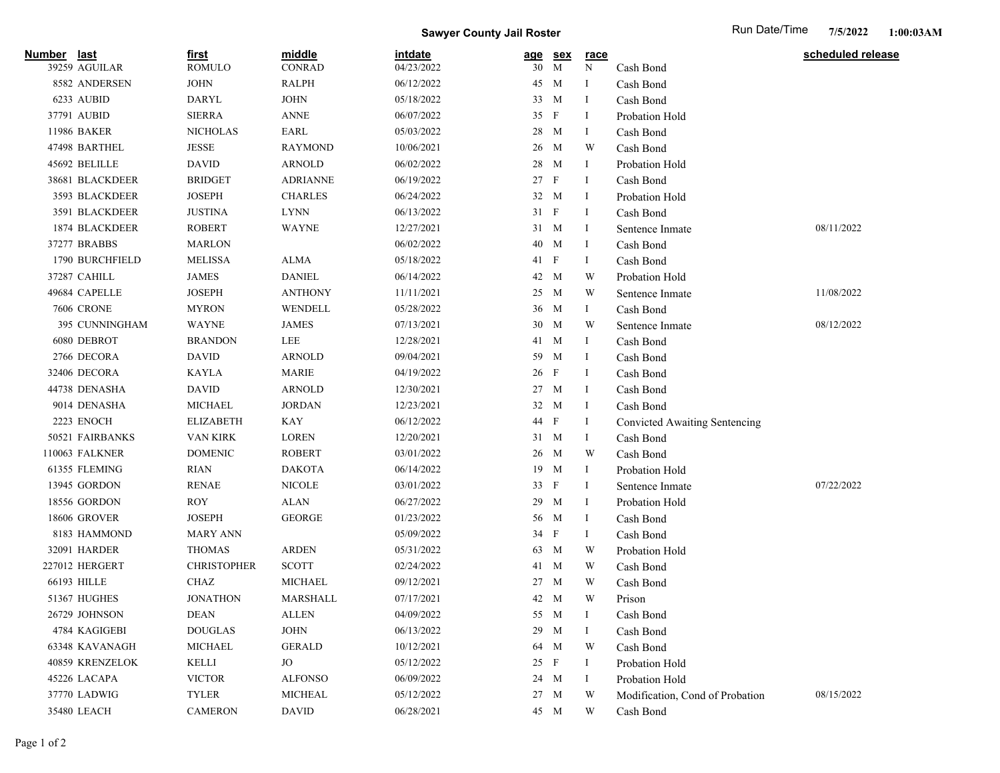**Sawyer County Jail Roster** Run Date/Time

| Number      | <u>last</u><br>39259 AGUILAR | <u>first</u><br><b>ROMULO</b> | middle<br><b>CONRAD</b> | <i>intdate</i><br>04/23/2022 | <u>age</u><br>30 | <u>sex</u><br>M | <u>race</u><br>N | Cash Bond                       | scheduled release |
|-------------|------------------------------|-------------------------------|-------------------------|------------------------------|------------------|-----------------|------------------|---------------------------------|-------------------|
|             | 8582 ANDERSEN                | <b>JOHN</b>                   | <b>RALPH</b>            | 06/12/2022                   | 45               | M               | -1               | Cash Bond                       |                   |
|             | 6233 AUBID                   | DARYL                         | <b>JOHN</b>             | 05/18/2022                   | 33               | M               | - 1              | Cash Bond                       |                   |
|             | 37791 AUBID                  | <b>SIERRA</b>                 | <b>ANNE</b>             | 06/07/2022                   | 35               | $\mathbf{F}$    | -1               | Probation Hold                  |                   |
|             | 11986 BAKER                  | <b>NICHOLAS</b>               | EARL                    | 05/03/2022                   | 28               | M               | -1               | Cash Bond                       |                   |
|             | 47498 BARTHEL                | <b>JESSE</b>                  | <b>RAYMOND</b>          | 10/06/2021                   | 26               | M               | W                | Cash Bond                       |                   |
|             | 45692 BELILLE                | <b>DAVID</b>                  | <b>ARNOLD</b>           | 06/02/2022                   | 28               | M               | Ι.               | Probation Hold                  |                   |
|             | 38681 BLACKDEER              | <b>BRIDGET</b>                | <b>ADRIANNE</b>         | 06/19/2022                   | 27               | $\mathbf{F}$    | -1               | Cash Bond                       |                   |
|             | 3593 BLACKDEER               | <b>JOSEPH</b>                 | <b>CHARLES</b>          | 06/24/2022                   | 32               | M               | - 1              | Probation Hold                  |                   |
|             | 3591 BLACKDEER               | <b>JUSTINA</b>                | <b>LYNN</b>             | 06/13/2022                   | 31               | $\mathbf{F}$    | -1               | Cash Bond                       |                   |
|             | 1874 BLACKDEER               | <b>ROBERT</b>                 | <b>WAYNE</b>            | 12/27/2021                   | 31 M             |                 | - 1              | Sentence Inmate                 | 08/11/2022        |
|             | 37277 BRABBS                 | <b>MARLON</b>                 |                         | 06/02/2022                   | 40               | M               | -1               | Cash Bond                       |                   |
|             | 1790 BURCHFIELD              | <b>MELISSA</b>                | ALMA                    | 05/18/2022                   | 41 F             |                 | -1               | Cash Bond                       |                   |
|             | 37287 CAHILL                 | JAMES                         | <b>DANIEL</b>           | 06/14/2022                   | 42               | M               | W                | Probation Hold                  |                   |
|             | 49684 CAPELLE                | <b>JOSEPH</b>                 | <b>ANTHONY</b>          | 11/11/2021                   | 25               | M               | W                | Sentence Inmate                 | 11/08/2022        |
|             | <b>7606 CRONE</b>            | <b>MYRON</b>                  | WENDELL                 | 05/28/2022                   | 36               | M               | Ι.               | Cash Bond                       |                   |
|             | 395 CUNNINGHAM               | <b>WAYNE</b>                  | JAMES                   | 07/13/2021                   | 30               | M               | W                | Sentence Inmate                 | 08/12/2022        |
|             | 6080 DEBROT                  | <b>BRANDON</b>                | LEE                     | 12/28/2021                   | 41               | M               | -1               | Cash Bond                       |                   |
|             | 2766 DECORA                  | <b>DAVID</b>                  | <b>ARNOLD</b>           | 09/04/2021                   | 59               | M               | - 1              | Cash Bond                       |                   |
|             | 32406 DECORA                 | <b>KAYLA</b>                  | <b>MARIE</b>            | 04/19/2022                   | 26               | $\mathbf{F}$    | -1               | Cash Bond                       |                   |
|             | 44738 DENASHA                | <b>DAVID</b>                  | <b>ARNOLD</b>           | 12/30/2021                   | 27               | M               | -1               | Cash Bond                       |                   |
|             | 9014 DENASHA                 | <b>MICHAEL</b>                | <b>JORDAN</b>           | 12/23/2021                   | 32               | M               | -1               | Cash Bond                       |                   |
|             | 2223 ENOCH                   | <b>ELIZABETH</b>              | KAY                     | 06/12/2022                   | 44 F             |                 | -1               | Convicted Awaiting Sentencing   |                   |
|             | 50521 FAIRBANKS              | <b>VAN KIRK</b>               | <b>LOREN</b>            | 12/20/2021                   | 31               | M               | -1               | Cash Bond                       |                   |
|             | 110063 FALKNER               | <b>DOMENIC</b>                | <b>ROBERT</b>           | 03/01/2022                   | 26               | M               | W                | Cash Bond                       |                   |
|             | 61355 FLEMING                | RIAN                          | <b>DAKOTA</b>           | 06/14/2022                   | 19               | M               | -1               | Probation Hold                  |                   |
|             | 13945 GORDON                 | <b>RENAE</b>                  | <b>NICOLE</b>           | 03/01/2022                   | 33               | F               | -1               | Sentence Inmate                 | 07/22/2022        |
|             | 18556 GORDON                 | <b>ROY</b>                    | <b>ALAN</b>             | 06/27/2022                   | 29               | M               | -1               | Probation Hold                  |                   |
|             | <b>18606 GROVER</b>          | <b>JOSEPH</b>                 | <b>GEORGE</b>           | 01/23/2022                   | 56               | M               | -1               | Cash Bond                       |                   |
|             | 8183 HAMMOND                 | <b>MARY ANN</b>               |                         | 05/09/2022                   | 34 F             |                 | 1                | Cash Bond                       |                   |
|             | 32091 HARDER                 | <b>THOMAS</b>                 | ARDEN                   | 05/31/2022                   | 63               | M               | W                | Probation Hold                  |                   |
|             | 227012 HERGERT               | <b>CHRISTOPHER</b>            | <b>SCOTT</b>            | 02/24/2022                   | 41               | M               | W                | Cash Bond                       |                   |
| 66193 HILLE |                              | <b>CHAZ</b>                   | <b>MICHAEL</b>          | 09/12/2021                   | 27               | M               | W                | Cash Bond                       |                   |
|             | 51367 HUGHES                 | <b>JONATHON</b>               | MARSHALL                | 07/17/2021                   | 42 M             |                 | W                | Prison                          |                   |
|             | 26729 JOHNSON                | <b>DEAN</b>                   | <b>ALLEN</b>            | 04/09/2022                   | 55               | M               | Ι.               | Cash Bond                       |                   |
|             | 4784 KAGIGEBI                | $\operatorname{DOUGLAS}$      | <b>JOHN</b>             | 06/13/2022                   | 29               | M               | -1               | Cash Bond                       |                   |
|             | 63348 KAVANAGH               | <b>MICHAEL</b>                | <b>GERALD</b>           | 10/12/2021                   | 64               | M               | W                | Cash Bond                       |                   |
|             | 40859 KRENZELOK              | <b>KELLI</b>                  | JO                      | 05/12/2022                   | 25 F             |                 | -1               | Probation Hold                  |                   |
|             | 45226 LACAPA                 | <b>VICTOR</b>                 | <b>ALFONSO</b>          | 06/09/2022                   | 24 M             |                 | -1               | Probation Hold                  |                   |
|             | 37770 LADWIG                 | <b>TYLER</b>                  | <b>MICHEAL</b>          | 05/12/2022                   | 27               | M               | W                | Modification, Cond of Probation | 08/15/2022        |
|             | 35480 LEACH                  | <b>CAMERON</b>                | <b>DAVID</b>            | 06/28/2021                   | 45 M             |                 | W                | Cash Bond                       |                   |